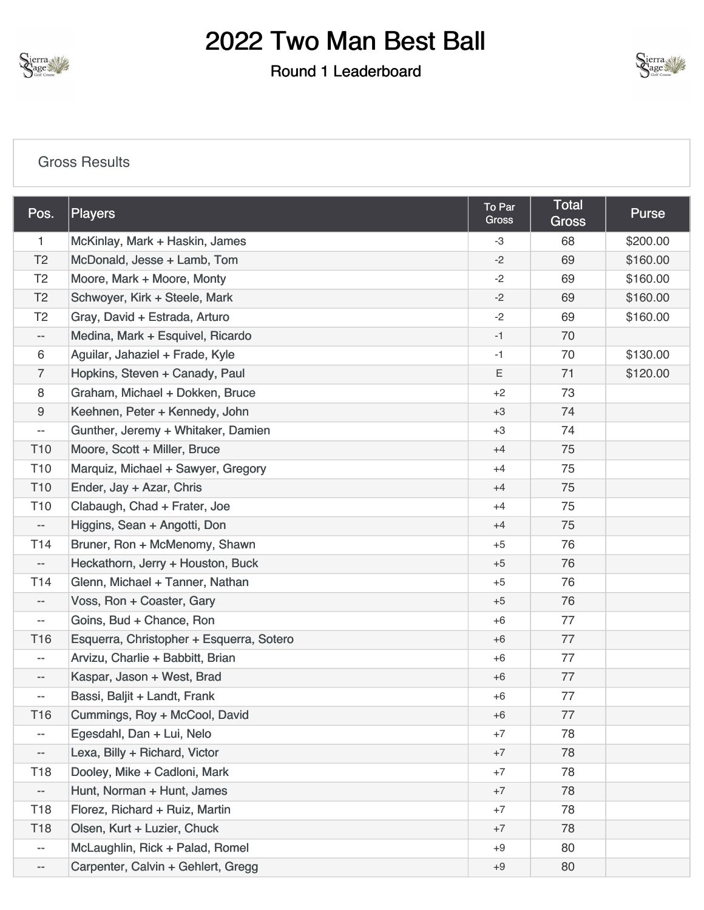

#### Round 1 Leaderboard



#### [Gross Results](https://cdn2.golfgenius.com/v2tournaments/8416193286049374457?called_from=&round_index=1)

| Pos.                     | Players                                  | To Par<br>Gross | <b>Total</b><br><b>Gross</b> | <b>Purse</b> |
|--------------------------|------------------------------------------|-----------------|------------------------------|--------------|
| $\mathbf{1}$             | McKinlay, Mark + Haskin, James           |                 | 68                           | \$200.00     |
| T <sub>2</sub>           | McDonald, Jesse + Lamb, Tom              | $-2$            | 69                           | \$160.00     |
| T <sub>2</sub>           | Moore, Mark + Moore, Monty               | $-2$            | 69                           | \$160.00     |
| T <sub>2</sub>           | Schwoyer, Kirk + Steele, Mark            | $-2$            | 69                           | \$160.00     |
| T <sub>2</sub>           | Gray, David + Estrada, Arturo            | $-2$            | 69                           | \$160.00     |
| --                       | Medina, Mark + Esquivel, Ricardo         | $-1$            | 70                           |              |
| 6                        | Aguilar, Jahaziel + Frade, Kyle          | $-1$            | 70                           | \$130.00     |
| 7                        | Hopkins, Steven + Canady, Paul           | Ε               | 71                           | \$120.00     |
| 8                        | Graham, Michael + Dokken, Bruce          | $+2$            | 73                           |              |
| 9                        | Keehnen, Peter + Kennedy, John           | $+3$            | 74                           |              |
| $\overline{\phantom{a}}$ | Gunther, Jeremy + Whitaker, Damien       | $+3$            | 74                           |              |
| T <sub>10</sub>          | Moore, Scott + Miller, Bruce             | $+4$            | 75                           |              |
| T <sub>10</sub>          | Marquiz, Michael + Sawyer, Gregory       | $+4$            | 75                           |              |
| T <sub>10</sub>          | Ender, Jay + Azar, Chris                 | $+4$            | 75                           |              |
| T <sub>10</sub>          | Clabaugh, Chad + Frater, Joe             | $+4$            | 75                           |              |
| $\overline{\phantom{a}}$ | Higgins, Sean + Angotti, Don             | $+4$            | 75                           |              |
| T <sub>14</sub>          | Bruner, Ron + McMenomy, Shawn            | $+5$            | 76                           |              |
| $\qquad \qquad -$        | Heckathorn, Jerry + Houston, Buck        | $+5$            | 76                           |              |
| T <sub>14</sub>          | Glenn, Michael + Tanner, Nathan          | $+5$            | 76                           |              |
| $- -$                    | Voss, Ron + Coaster, Gary                | $+5$            | 76                           |              |
| $- -$                    | Goins, Bud + Chance, Ron                 | $+6$            | 77                           |              |
| T <sub>16</sub>          | Esquerra, Christopher + Esquerra, Sotero | $+6$            | 77                           |              |
| $\overline{\phantom{a}}$ | Arvizu, Charlie + Babbitt, Brian         | $+6$            | 77                           |              |
| $\qquad \qquad -$        | Kaspar, Jason + West, Brad               | $+6$            | 77                           |              |
| $- -$                    | Bassi, Baljit + Landt, Frank             | $+6$            | 77                           |              |
| T <sub>16</sub>          | Cummings, Roy + McCool, David            | $+6$            | 77                           |              |
| $\overline{\phantom{a}}$ | Egesdahl, Dan + Lui, Nelo                | $+7$            | 78                           |              |
| ÷                        | Lexa, Billy + Richard, Victor            | $+7$            | 78                           |              |
| T <sub>18</sub>          | Dooley, Mike + Cadloni, Mark             | $+7$            | 78                           |              |
| $\overline{\phantom{a}}$ | Hunt, Norman + Hunt, James               | $+7$            | 78                           |              |
| T <sub>18</sub>          | Florez, Richard + Ruiz, Martin           | $+7$            | 78                           |              |
| T <sub>18</sub>          | Olsen, Kurt + Luzier, Chuck              | $+7$            | 78                           |              |
| $\overline{\phantom{a}}$ | McLaughlin, Rick + Palad, Romel          | $+9$            | 80                           |              |
| --                       | Carpenter, Calvin + Gehlert, Gregg       | $+9$            | 80                           |              |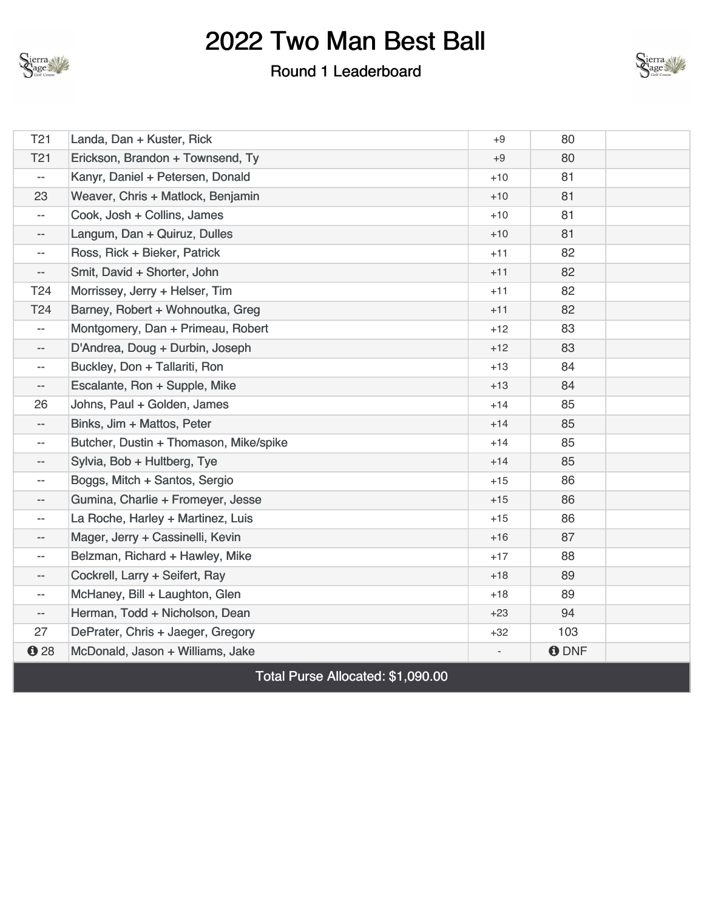

#### Round 1 Leaderboard



| T21                      | Landa, Dan + Kuster, Rick              | $+9$  | 80          |  |
|--------------------------|----------------------------------------|-------|-------------|--|
|                          |                                        |       |             |  |
| T <sub>21</sub>          | Erickson, Brandon + Townsend, Ty       | $+9$  | 80          |  |
| $-$                      | Kanyr, Daniel + Petersen, Donald       | $+10$ | 81          |  |
| 23                       | Weaver, Chris + Matlock, Benjamin      | $+10$ | 81          |  |
| $-$                      | Cook, Josh + Collins, James            | $+10$ | 81          |  |
| $- -$                    | Langum, Dan + Quiruz, Dulles           | $+10$ | 81          |  |
| $\overline{\phantom{a}}$ | Ross, Rick + Bieker, Patrick           | $+11$ | 82          |  |
| $\overline{\phantom{a}}$ | Smit, David + Shorter, John            | $+11$ | 82          |  |
| T <sub>24</sub>          | Morrissey, Jerry + Helser, Tim         | $+11$ | 82          |  |
| T24                      | Barney, Robert + Wohnoutka, Greg       | $+11$ | 82          |  |
| $\overline{\phantom{a}}$ | Montgomery, Dan + Primeau, Robert      | $+12$ | 83          |  |
| $\overline{\phantom{a}}$ | D'Andrea, Doug + Durbin, Joseph        | $+12$ | 83          |  |
| $- -$                    | Buckley, Don + Tallariti, Ron          | $+13$ | 84          |  |
| --                       | Escalante, Ron + Supple, Mike          | $+13$ | 84          |  |
| 26                       | Johns, Paul + Golden, James            | $+14$ | 85          |  |
| $- -$                    | Binks, Jim + Mattos, Peter             | $+14$ | 85          |  |
| $\overline{\phantom{a}}$ | Butcher, Dustin + Thomason, Mike/spike | $+14$ | 85          |  |
| $-$                      | Sylvia, Bob + Hultberg, Tye            | $+14$ | 85          |  |
| $- -$                    | Boggs, Mitch + Santos, Sergio          | $+15$ | 86          |  |
| $\overline{\phantom{a}}$ | Gumina, Charlie + Fromeyer, Jesse      | $+15$ | 86          |  |
| $- -$                    | La Roche, Harley + Martinez, Luis      | $+15$ | 86          |  |
| $\overline{\phantom{a}}$ | Mager, Jerry + Cassinelli, Kevin       | $+16$ | 87          |  |
| $- -$                    | Belzman, Richard + Hawley, Mike        | $+17$ | 88          |  |
| $- -$                    | Cockrell, Larry + Seifert, Ray         | $+18$ | 89          |  |
| $- -$                    | McHaney, Bill + Laughton, Glen         | $+18$ | 89          |  |
| $\overline{\phantom{a}}$ | Herman, Todd + Nicholson, Dean         | $+23$ | 94          |  |
| 27                       | DePrater, Chris + Jaeger, Gregory      | $+32$ | 103         |  |
| 028                      | McDonald, Jason + Williams, Jake       |       | <b>ODNF</b> |  |
|                          |                                        |       |             |  |

Total Purse Allocated: \$1,090.00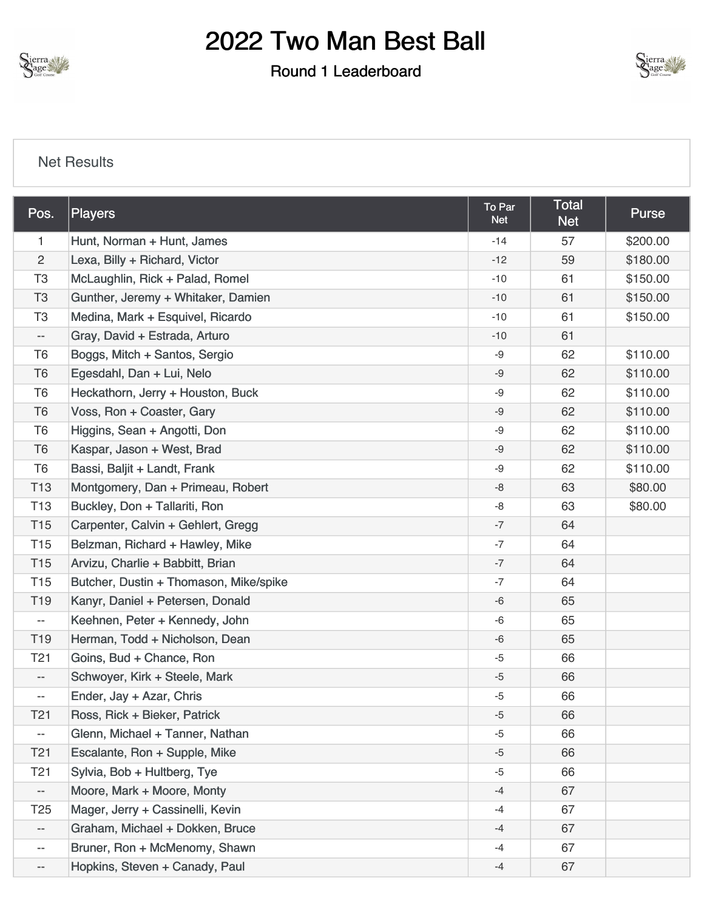

#### Round 1 Leaderboard



#### [Net Results](https://cdn2.golfgenius.com/v2tournaments/8416193294404428026?called_from=&round_index=1)

| Pos.                     | Players                                | To Par<br><b>Net</b> | <b>Total</b><br><b>Net</b> | <b>Purse</b> |
|--------------------------|----------------------------------------|----------------------|----------------------------|--------------|
| $\mathbf{1}$             | Hunt, Norman + Hunt, James             |                      | 57                         | \$200.00     |
| $\overline{2}$           | Lexa, Billy + Richard, Victor          |                      | 59                         | \$180.00     |
| T <sub>3</sub>           | McLaughlin, Rick + Palad, Romel        | $-10$                | 61                         | \$150.00     |
| T <sub>3</sub>           | Gunther, Jeremy + Whitaker, Damien     | $-10$                | 61                         | \$150.00     |
| T <sub>3</sub>           | Medina, Mark + Esquivel, Ricardo       | $-10$                | 61                         | \$150.00     |
| $- -$                    | Gray, David + Estrada, Arturo          | $-10$                | 61                         |              |
| T <sub>6</sub>           | Boggs, Mitch + Santos, Sergio          | -9                   | 62                         | \$110.00     |
| T <sub>6</sub>           | Egesdahl, Dan + Lui, Nelo              | -9                   | 62                         | \$110.00     |
| T <sub>6</sub>           | Heckathorn, Jerry + Houston, Buck      | -9                   | 62                         | \$110.00     |
| T <sub>6</sub>           | Voss, Ron + Coaster, Gary              | $-9$                 | 62                         | \$110.00     |
| T <sub>6</sub>           | Higgins, Sean + Angotti, Don           | -9                   | 62                         | \$110.00     |
| T <sub>6</sub>           | Kaspar, Jason + West, Brad             | -9                   | 62                         | \$110.00     |
| T <sub>6</sub>           | Bassi, Baljit + Landt, Frank           | -9                   | 62                         | \$110.00     |
| T <sub>13</sub>          | Montgomery, Dan + Primeau, Robert      | -8                   | 63                         | \$80.00      |
| T <sub>13</sub>          | Buckley, Don + Tallariti, Ron          | -8                   | 63                         | \$80.00      |
| T <sub>15</sub>          | Carpenter, Calvin + Gehlert, Gregg     | $-7$                 | 64                         |              |
| T <sub>15</sub>          | Belzman, Richard + Hawley, Mike        | $-7$                 | 64                         |              |
| T <sub>15</sub>          | Arvizu, Charlie + Babbitt, Brian       | $-7$                 | 64                         |              |
| T <sub>15</sub>          | Butcher, Dustin + Thomason, Mike/spike | $-7$                 | 64                         |              |
| T <sub>19</sub>          | Kanyr, Daniel + Petersen, Donald       | -6                   | 65                         |              |
| $\overline{\phantom{a}}$ | Keehnen, Peter + Kennedy, John         | -6                   | 65                         |              |
| T <sub>19</sub>          | Herman, Todd + Nicholson, Dean         | -6                   | 65                         |              |
| T <sub>21</sub>          | Goins, Bud + Chance, Ron               | $-5$                 | 66                         |              |
| $- -$                    | Schwoyer, Kirk + Steele, Mark          | $-5$                 | 66                         |              |
| $-\,-$                   | Ender, Jay + Azar, Chris               | -5                   | 66                         |              |
| T <sub>21</sub>          | Ross, Rick + Bieker, Patrick           | $-5$                 | 66                         |              |
| $\overline{\phantom{m}}$ | Glenn, Michael + Tanner, Nathan        | $-5$                 | 66                         |              |
| T <sub>21</sub>          | Escalante, Ron + Supple, Mike          | $-5$                 | 66                         |              |
| T <sub>21</sub>          | Sylvia, Bob + Hultberg, Tye            | -5                   | 66                         |              |
| $- -$                    | Moore, Mark + Moore, Monty             |                      | 67                         |              |
| T <sub>25</sub>          | Mager, Jerry + Cassinelli, Kevin       | $-4$                 | 67                         |              |
| $- -$                    | Graham, Michael + Dokken, Bruce        | $-4$                 | 67                         |              |
| $\overline{\phantom{m}}$ | Bruner, Ron + McMenomy, Shawn          | -4                   | 67                         |              |
| $- -$                    | Hopkins, Steven + Canady, Paul         | $-4$                 | 67                         |              |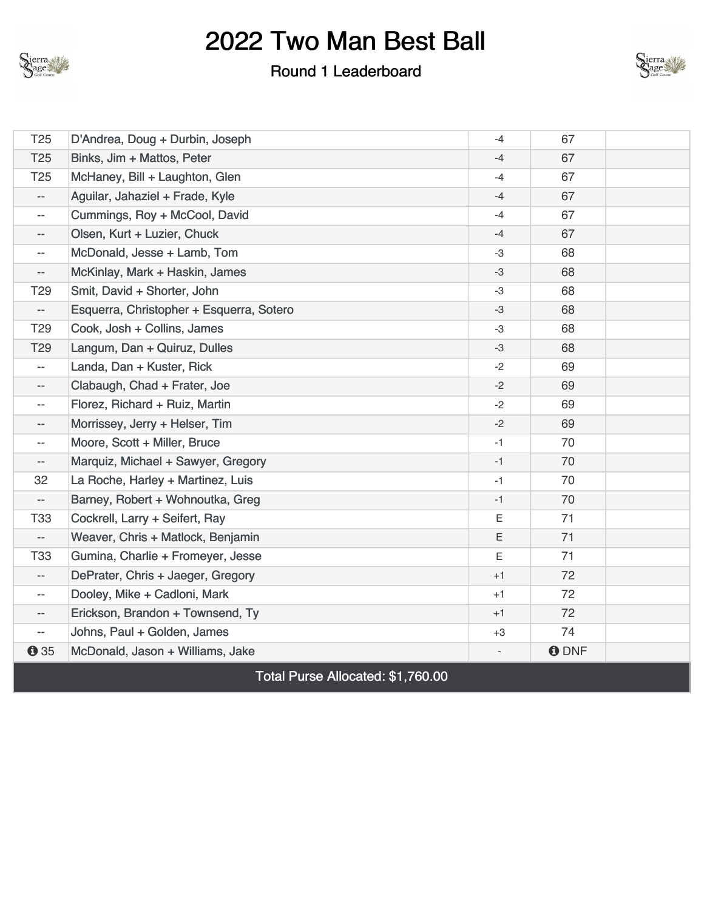

#### Round 1 Leaderboard



| T <sub>25</sub>          | D'Andrea, Doug + Durbin, Joseph                  | $-4$ | 67          |  |
|--------------------------|--------------------------------------------------|------|-------------|--|
| T <sub>25</sub>          | Binks, Jim + Mattos, Peter                       | $-4$ | 67          |  |
| T <sub>25</sub>          | McHaney, Bill + Laughton, Glen                   | $-4$ | 67          |  |
| $\overline{\phantom{a}}$ | Aguilar, Jahaziel + Frade, Kyle                  | $-4$ | 67          |  |
| $\overline{\phantom{a}}$ | Cummings, Roy + McCool, David                    | $-4$ | 67          |  |
| $- -$                    | Olsen, Kurt + Luzier, Chuck                      | $-4$ | 67          |  |
| $- -$                    | McDonald, Jesse + Lamb, Tom                      | -3   | 68          |  |
| $\overline{\phantom{a}}$ | McKinlay, Mark + Haskin, James                   | -3   | 68          |  |
| T <sub>29</sub>          | Smit, David + Shorter, John                      | -3   | 68          |  |
| $\overline{\phantom{a}}$ | Esquerra, Christopher + Esquerra, Sotero         | $-3$ | 68          |  |
| T <sub>29</sub>          | Cook, Josh + Collins, James                      | $-3$ | 68          |  |
| T <sub>29</sub>          | Langum, Dan + Quiruz, Dulles                     | $-3$ | 68          |  |
| $\overline{\phantom{a}}$ | Landa, Dan + Kuster, Rick                        | $-2$ | 69          |  |
| $\overline{\phantom{a}}$ | Clabaugh, Chad + Frater, Joe                     | $-2$ | 69          |  |
| $- -$                    | Florez, Richard + Ruiz, Martin                   | $-2$ | 69          |  |
| $- -$                    | Morrissey, Jerry + Helser, Tim                   | $-2$ | 69          |  |
| $- -$                    | Moore, Scott + Miller, Bruce                     | $-1$ | 70          |  |
| --                       | Marquiz, Michael + Sawyer, Gregory               | $-1$ | 70          |  |
| 32                       | La Roche, Harley + Martinez, Luis                | $-1$ | 70          |  |
| $\overline{\phantom{a}}$ | Barney, Robert + Wohnoutka, Greg                 | $-1$ | 70          |  |
| <b>T33</b>               | Cockrell, Larry + Seifert, Ray                   | Ε    | 71          |  |
| $-$                      | Weaver, Chris + Matlock, Benjamin                | Ε    | 71          |  |
| <b>T33</b>               | Gumina, Charlie + Fromeyer, Jesse                | Ε    | 71          |  |
| $\overline{\phantom{a}}$ | DePrater, Chris + Jaeger, Gregory                | $+1$ | 72          |  |
| $- -$                    | Dooley, Mike + Cadloni, Mark                     | $+1$ | 72          |  |
| $\overline{\phantom{a}}$ | Erickson, Brandon + Townsend, Ty                 | $+1$ | 72          |  |
| $- -$                    | Johns, Paul + Golden, James                      | $+3$ | 74          |  |
| $\theta$ 35              | McDonald, Jason + Williams, Jake                 |      | <b>ODNF</b> |  |
|                          | $T_{\text{old}}$ Dussa Allaceted, $A$ 4, 700, 00 |      |             |  |

Total Purse Allocated: \$1,760.00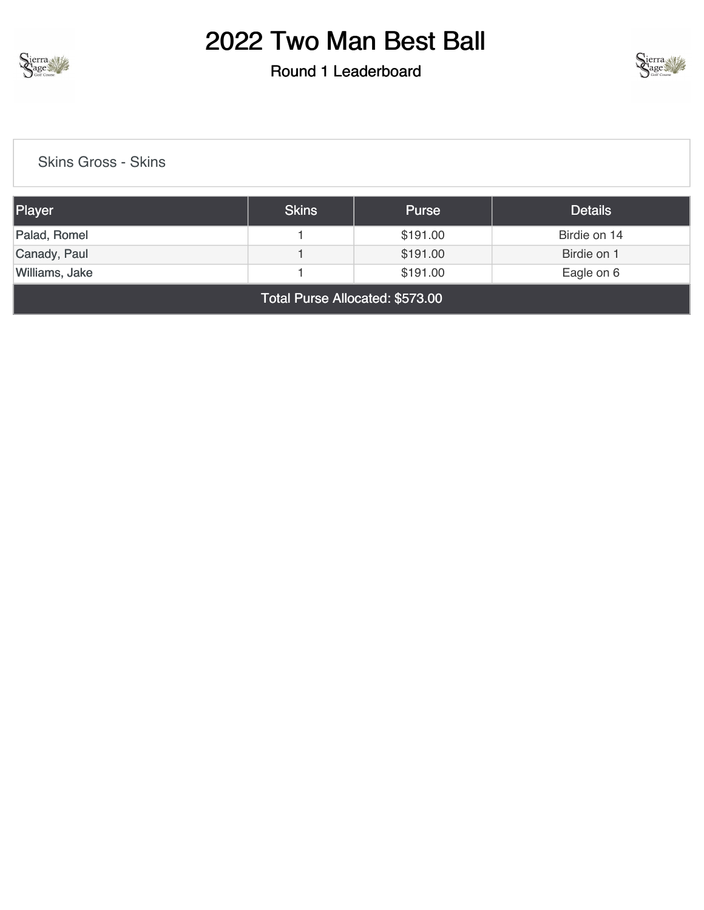

### Round 1 Leaderboard



[Skins Gross - Skins](https://cdn2.golfgenius.com/v2tournaments/8181402226011414931?called_from=&round_index=1)

| Player         | <b>Skins</b> | <b>Purse</b> | <b>Details</b> |
|----------------|--------------|--------------|----------------|
| Palad, Romel   |              | \$191.00     | Birdie on 14   |
| Canady, Paul   |              | \$191.00     | Birdie on 1    |
| Williams, Jake |              | \$191.00     | Eagle on 6     |
|                |              |              |                |

Total Purse Allocated: \$573.00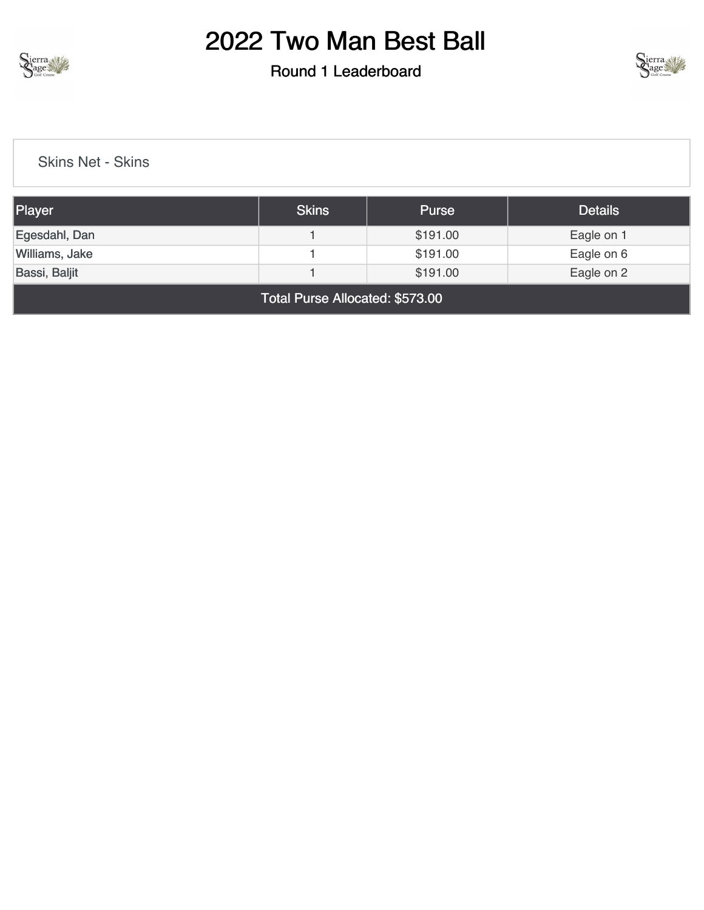

#### Round 1 Leaderboard



[Skins Net - Skins](https://cdn2.golfgenius.com/v2tournaments/8181402247419142548?called_from=&round_index=1)

| Player         | Skins | <b>Purse</b> | <b>Details</b> |
|----------------|-------|--------------|----------------|
| Egesdahl, Dan  |       | \$191.00     | Eagle on 1     |
| Williams, Jake |       | \$191.00     | Eagle on 6     |
| Bassi, Baljit  |       | \$191.00     | Eagle on 2     |

Total Purse Allocated: \$573.00